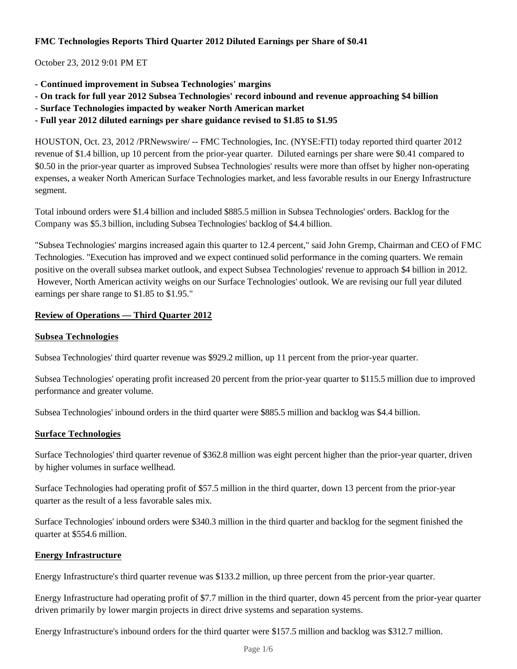# **FMC Technologies Reports Third Quarter 2012 Diluted Earnings per Share of \$0.41**

October 23, 2012 9:01 PM ET

- **Continued improvement in Subsea Technologies' margins**
- **On track for full year 2012 Subsea Technologies' record inbound and revenue approaching \$4 billion**
- **Surface Technologies impacted by weaker North American market**
- **Full year 2012 diluted earnings per share guidance revised to \$1.85 to \$1.95**

HOUSTON, Oct. 23, 2012 /PRNewswire/ -- FMC Technologies, Inc. (NYSE:FTI) today reported third quarter 2012 revenue of \$1.4 billion, up 10 percent from the prior-year quarter. Diluted earnings per share were \$0.41 compared to \$0.50 in the prior-year quarter as improved Subsea Technologies' results were more than offset by higher non-operating expenses, a weaker North American Surface Technologies market, and less favorable results in our Energy Infrastructure segment.

Total inbound orders were \$1.4 billion and included \$885.5 million in Subsea Technologies' orders. Backlog for the Company was \$5.3 billion, including Subsea Technologies' backlog of \$4.4 billion.

"Subsea Technologies' margins increased again this quarter to 12.4 percent," said John Gremp, Chairman and CEO of FMC Technologies. "Execution has improved and we expect continued solid performance in the coming quarters. We remain positive on the overall subsea market outlook, and expect Subsea Technologies' revenue to approach \$4 billion in 2012. However, North American activity weighs on our Surface Technologies' outlook. We are revising our full year diluted earnings per share range to \$1.85 to \$1.95."

## **Review of Operations — Third Quarter 2012**

### **Subsea Technologies**

Subsea Technologies' third quarter revenue was \$929.2 million, up 11 percent from the prior-year quarter.

Subsea Technologies' operating profit increased 20 percent from the prior-year quarter to \$115.5 million due to improved performance and greater volume.

Subsea Technologies' inbound orders in the third quarter were \$885.5 million and backlog was \$4.4 billion.

### **Surface Technologies**

Surface Technologies' third quarter revenue of \$362.8 million was eight percent higher than the prior-year quarter, driven by higher volumes in surface wellhead.

Surface Technologies had operating profit of \$57.5 million in the third quarter, down 13 percent from the prior-year quarter as the result of a less favorable sales mix.

Surface Technologies' inbound orders were \$340.3 million in the third quarter and backlog for the segment finished the quarter at \$554.6 million.

### **Energy Infrastructure**

Energy Infrastructure's third quarter revenue was \$133.2 million, up three percent from the prior-year quarter.

Energy Infrastructure had operating profit of \$7.7 million in the third quarter, down 45 percent from the prior-year quarter driven primarily by lower margin projects in direct drive systems and separation systems.

Energy Infrastructure's inbound orders for the third quarter were \$157.5 million and backlog was \$312.7 million.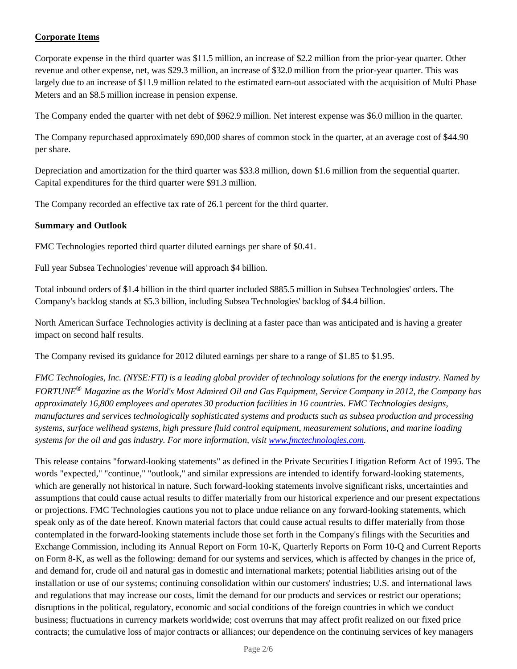# **Corporate Items**

Corporate expense in the third quarter was \$11.5 million, an increase of \$2.2 million from the prior-year quarter. Other revenue and other expense, net, was \$29.3 million, an increase of \$32.0 million from the prior-year quarter. This was largely due to an increase of \$11.9 million related to the estimated earn-out associated with the acquisition of Multi Phase Meters and an \$8.5 million increase in pension expense.

The Company ended the quarter with net debt of \$962.9 million. Net interest expense was \$6.0 million in the quarter.

The Company repurchased approximately 690,000 shares of common stock in the quarter, at an average cost of \$44.90 per share.

Depreciation and amortization for the third quarter was \$33.8 million, down \$1.6 million from the sequential quarter. Capital expenditures for the third quarter were \$91.3 million.

The Company recorded an effective tax rate of 26.1 percent for the third quarter.

## **Summary and Outlook**

FMC Technologies reported third quarter diluted earnings per share of \$0.41.

Full year Subsea Technologies' revenue will approach \$4 billion.

Total inbound orders of \$1.4 billion in the third quarter included \$885.5 million in Subsea Technologies' orders. The Company's backlog stands at \$5.3 billion, including Subsea Technologies' backlog of \$4.4 billion.

North American Surface Technologies activity is declining at a faster pace than was anticipated and is having a greater impact on second half results.

The Company revised its guidance for 2012 diluted earnings per share to a range of \$1.85 to \$1.95.

*FMC Technologies, Inc. (NYSE:FTI) is a leading global provider of technology solutions for the energy industry. Named by FORTUNE® Magazine as the World's Most Admired Oil and Gas Equipment, Service Company in 2012, the Company has approximately 16,800 employees and operates 30 production facilities in 16 countries. FMC Technologies designs, manufactures and services technologically sophisticated systems and products such as subsea production and processing systems, surface wellhead systems, high pressure fluid control equipment, measurement solutions, and marine loading systems for the oil and gas industry. For more information, visit www.fmctechnologies.com.*

This release contains "forward-looking statements" as defined in the Private Securities Litigation Reform Act of 1995. The words "expected," "continue," "outlook," and similar expressions are intended to identify forward-looking statements, which are generally not historical in nature. Such forward-looking statements involve significant risks, uncertainties and assumptions that could cause actual results to differ materially from our historical experience and our present expectations or projections. FMC Technologies cautions you not to place undue reliance on any forward-looking statements, which speak only as of the date hereof. Known material factors that could cause actual results to differ materially from those contemplated in the forward-looking statements include those set forth in the Company's filings with the Securities and Exchange Commission, including its Annual Report on Form 10-K, Quarterly Reports on Form 10-Q and Current Reports on Form 8-K, as well as the following: demand for our systems and services, which is affected by changes in the price of, and demand for, crude oil and natural gas in domestic and international markets; potential liabilities arising out of the installation or use of our systems; continuing consolidation within our customers' industries; U.S. and international laws and regulations that may increase our costs, limit the demand for our products and services or restrict our operations; disruptions in the political, regulatory, economic and social conditions of the foreign countries in which we conduct business; fluctuations in currency markets worldwide; cost overruns that may affect profit realized on our fixed price contracts; the cumulative loss of major contracts or alliances; our dependence on the continuing services of key managers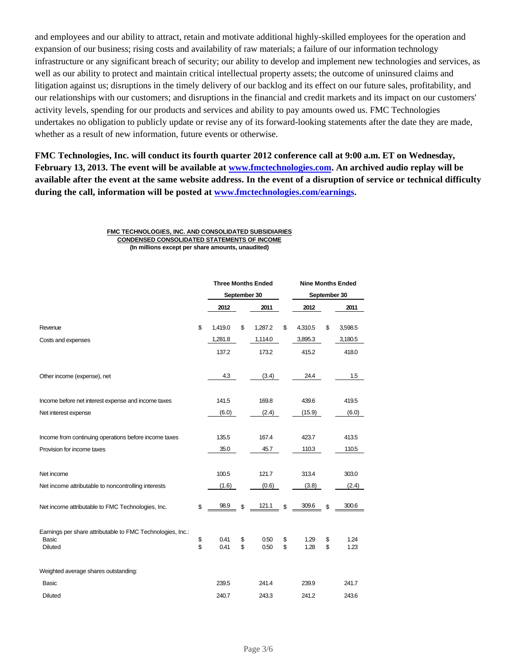and employees and our ability to attract, retain and motivate additional highly-skilled employees for the operation and expansion of our business; rising costs and availability of raw materials; a failure of our information technology infrastructure or any significant breach of security; our ability to develop and implement new technologies and services, as well as our ability to protect and maintain critical intellectual property assets; the outcome of uninsured claims and litigation against us; disruptions in the timely delivery of our backlog and its effect on our future sales, profitability, and our relationships with our customers; and disruptions in the financial and credit markets and its impact on our customers' activity levels, spending for our products and services and ability to pay amounts owed us. FMC Technologies undertakes no obligation to publicly update or revise any of its forward-looking statements after the date they are made, whether as a result of new information, future events or otherwise.

**FMC Technologies, Inc. will conduct its fourth quarter 2012 conference call at 9:00 a.m. ET on Wednesday, February 13, 2013. The event will be available at www.fmctechnologies.com. An archived audio replay will be available after the event at the same website address. In the event of a disruption of service or technical difficulty during the call, information will be posted at www.fmctechnologies.com/earnings.**

> **FMC TECHNOLOGIES, INC. AND CONSOLIDATED SUBSIDIARIES CONDENSED CONSOLIDATED STATEMENTS OF INCOME (In millions except per share amounts, unaudited)**

|                                                                                              |          | <b>Three Months Ended</b> |          |              |              |              | <b>Nine Months Ended</b> |              |  |
|----------------------------------------------------------------------------------------------|----------|---------------------------|----------|--------------|--------------|--------------|--------------------------|--------------|--|
|                                                                                              |          | September 30              |          |              | September 30 |              |                          |              |  |
|                                                                                              |          | 2012                      |          | 2011         |              | 2012         |                          | 2011         |  |
| Revenue                                                                                      | \$       | 1,419.0                   | \$       | 1,287.2      | \$           | 4,310.5      | \$                       | 3,598.5      |  |
| Costs and expenses                                                                           |          | 1,281.8                   |          | 1,114.0      |              | 3,895.3      |                          | 3,180.5      |  |
|                                                                                              |          | 137.2                     |          | 173.2        |              | 415.2        |                          | 418.0        |  |
| Other income (expense), net                                                                  |          | 4.3                       |          | (3.4)        |              | 24.4         |                          | 1.5          |  |
| Income before net interest expense and income taxes                                          |          | 141.5                     |          | 169.8        |              | 439.6        |                          | 419.5        |  |
| Net interest expense                                                                         |          | (6.0)                     |          | (2.4)        |              | (15.9)       |                          | (6.0)        |  |
| Income from continuing operations before income taxes                                        |          | 135.5                     |          | 167.4        |              | 423.7        |                          | 413.5        |  |
| Provision for income taxes                                                                   |          | 35.0                      |          | 45.7         |              | 110.3        |                          | 110.5        |  |
| Net income                                                                                   |          | 100.5                     |          | 121.7        |              | 313.4        |                          | 303.0        |  |
| Net income attributable to noncontrolling interests                                          |          | (1.6)                     |          | (0.6)        |              | (3.8)        |                          | (2.4)        |  |
| Net income attributable to FMC Technologies, Inc.                                            | \$       | 98.9                      | \$       | 121.1        | \$           | 309.6        | \$                       | 300.6        |  |
| Earnings per share attributable to FMC Technologies, Inc.:<br><b>Basic</b><br><b>Diluted</b> | \$<br>\$ | 0.41<br>0.41              | \$<br>\$ | 0.50<br>0.50 | \$<br>\$     | 1.29<br>1.28 | \$<br>\$                 | 1.24<br>1.23 |  |
| Weighted average shares outstanding:                                                         |          |                           |          |              |              |              |                          |              |  |
| <b>Basic</b>                                                                                 |          | 239.5                     |          | 241.4        |              | 239.9        |                          | 241.7        |  |
| Diluted                                                                                      |          | 240.7                     |          | 243.3        |              | 241.2        |                          | 243.6        |  |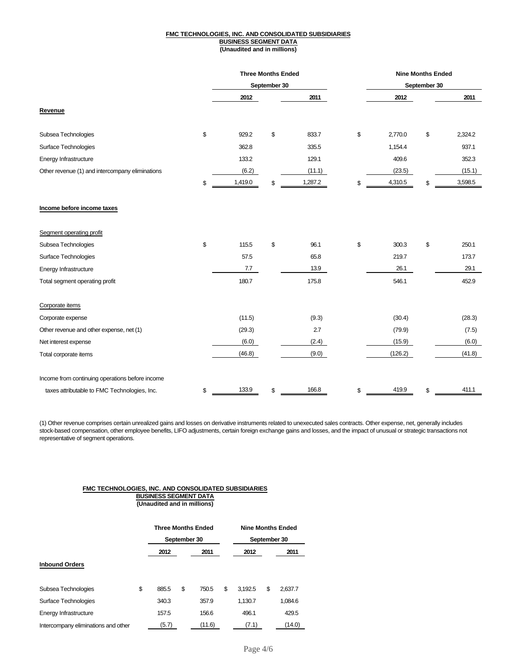#### **FMC TECHNOLOGIES, INC. AND CONSOLIDATED SUBSIDIARIES BUSINESS SEGMENT DATA (Unaudited and in millions)**

|                                                 |    | <b>Three Months Ended</b><br>September 30 |    |         | <b>Nine Months Ended</b> |    |         |  |
|-------------------------------------------------|----|-------------------------------------------|----|---------|--------------------------|----|---------|--|
|                                                 |    |                                           |    |         | September 30             |    |         |  |
|                                                 |    | 2012                                      |    | 2011    | 2012                     |    | 2011    |  |
| Revenue                                         |    |                                           |    |         |                          |    |         |  |
| Subsea Technologies                             | \$ | 929.2                                     | \$ | 833.7   | \$<br>2,770.0            | \$ | 2,324.2 |  |
| Surface Technologies                            |    | 362.8                                     |    | 335.5   | 1,154.4                  |    | 937.1   |  |
| Energy Infrastructure                           |    | 133.2                                     |    | 129.1   | 409.6                    |    | 352.3   |  |
| Other revenue (1) and intercompany eliminations |    | (6.2)                                     |    | (11.1)  | (23.5)                   |    | (15.1)  |  |
|                                                 | \$ | 1,419.0                                   | \$ | 1,287.2 | \$<br>4,310.5            | \$ | 3,598.5 |  |
| Income before income taxes                      |    |                                           |    |         |                          |    |         |  |
| Segment operating profit                        |    |                                           |    |         |                          |    |         |  |
| Subsea Technologies                             | \$ | 115.5                                     | \$ | 96.1    | \$<br>300.3              | \$ | 250.1   |  |
| Surface Technologies                            |    | 57.5                                      |    | 65.8    | 219.7                    |    | 173.7   |  |
| Energy Infrastructure                           |    | 7.7                                       |    | 13.9    | 26.1                     |    | 29.1    |  |
| Total segment operating profit                  |    | 180.7                                     |    | 175.8   | 546.1                    |    | 452.9   |  |
| Corporate items                                 |    |                                           |    |         |                          |    |         |  |
| Corporate expense                               |    | (11.5)                                    |    | (9.3)   | (30.4)                   |    | (28.3)  |  |
| Other revenue and other expense, net (1)        |    | (29.3)                                    |    | 2.7     | (79.9)                   |    | (7.5)   |  |
| Net interest expense                            |    | (6.0)                                     |    | (2.4)   | (15.9)                   |    | (6.0)   |  |
| Total corporate items                           |    | (46.8)                                    |    | (9.0)   | (126.2)                  |    | (41.8)  |  |
| Income from continuing operations before income |    |                                           |    |         |                          |    |         |  |
| taxes attributable to FMC Technologies, Inc.    | \$ | 133.9                                     | \$ | 166.8   | \$<br>419.9              | \$ | 411.1   |  |

(1) Other revenue comprises certain unrealized gains and losses on derivative instruments related to unexecuted sales contracts. Other expense, net, generally includes stock-based compensation, other employee benefits, LIFO adjustments, certain foreign exchange gains and losses, and the impact of unusual or strategic transactions not representative of segment operations.

#### **FMC TECHNOLOGIES, INC. AND CONSOLIDATED SUBSIDIARIES BUSINESS SEGMENT DATA (Unaudited and in millions)**

|                                     | <b>Three Months Ended</b><br>September 30 |    |        | <b>Nine Months Ended</b><br>September 30 |    |         |
|-------------------------------------|-------------------------------------------|----|--------|------------------------------------------|----|---------|
|                                     | 2012                                      |    | 2011   | 2012                                     |    | 2011    |
| <b>Inbound Orders</b>               |                                           |    |        |                                          |    |         |
| Subsea Technologies                 | \$<br>885.5                               | \$ | 750.5  | \$<br>3.192.5                            | \$ | 2,637.7 |
| Surface Technologies                | 340.3                                     |    | 357.9  | 1.130.7                                  |    | 1,084.6 |
| Energy Infrastructure               | 157.5                                     |    | 156.6  | 496.1                                    |    | 429.5   |
| Intercompany eliminations and other | (5.7)                                     |    | (11.6) | (7.1)                                    |    | (14.0)  |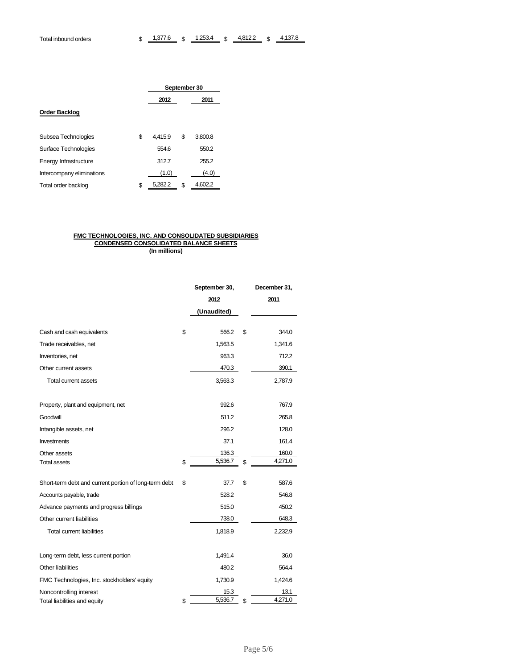|                           | September 30 |               |  |  |  |  |
|---------------------------|--------------|---------------|--|--|--|--|
|                           | 2012         | 2011          |  |  |  |  |
| <b>Order Backlog</b>      |              |               |  |  |  |  |
|                           |              |               |  |  |  |  |
| \$<br>Subsea Technologies | 4.415.9      | 3,800.8<br>\$ |  |  |  |  |
| Surface Technologies      | 554.6        | 550.2         |  |  |  |  |
| Energy Infrastructure     | 312.7        | 255.2         |  |  |  |  |
| Intercompany eliminations | (1.0)        | (4.0)         |  |  |  |  |
| \$<br>Total order backlog | 5,282.2      | 4.602.2<br>\$ |  |  |  |  |

#### **FMC TECHNOLOGIES, INC. AND CONSOLIDATED SUBSIDIARIES CONDENSED CONSOLIDATED BALANCE SHEETS (In millions)**

|                                                       | September 30, | December 31,  |
|-------------------------------------------------------|---------------|---------------|
|                                                       | 2012          | 2011          |
|                                                       | (Unaudited)   |               |
| Cash and cash equivalents                             | \$<br>566.2   | \$<br>344.0   |
| Trade receivables, net                                | 1,563.5       |               |
|                                                       |               | 1,341.6       |
| Inventories, net                                      | 963.3         | 712.2         |
| Other current assets                                  | 470.3         | 390.1         |
| Total current assets                                  | 3,563.3       | 2,787.9       |
| Property, plant and equipment, net                    | 992.6         | 767.9         |
| Goodwill                                              | 511.2         | 265.8         |
| Intangible assets, net                                | 296.2         | 128.0         |
| Investments                                           | 37.1          | 161.4         |
| Other assets                                          | 136.3         | 160.0         |
| Total assets                                          | \$<br>5,536.7 | \$<br>4,271.0 |
| Short-term debt and current portion of long-term debt | \$<br>37.7    | \$<br>587.6   |
| Accounts payable, trade                               | 528.2         | 546.8         |
| Advance payments and progress billings                | 515.0         | 450.2         |
| Other current liabilities                             | 738.0         | 648.3         |
| <b>Total current liabilities</b>                      | 1,818.9       | 2,232.9       |
| Long-term debt, less current portion                  | 1,491.4       | 36.0          |
| Other liabilities                                     | 480.2         | 564.4         |
| FMC Technologies, Inc. stockholders' equity           | 1,730.9       | 1,424.6       |
| Noncontrolling interest                               | 15.3          | 13.1          |
| Total liabilities and equity                          | \$<br>5,536.7 | \$<br>4,271.0 |